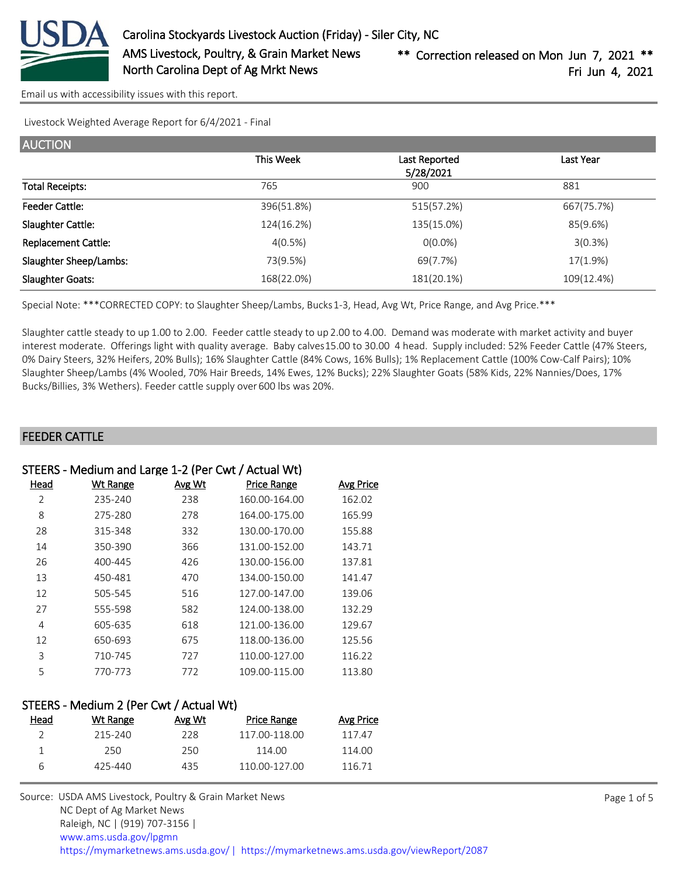

[Email us with accessibility issues with this report.](mailto:mars@ams.usda.gov?subject=508%20issue)

Livestock Weighted Average Report for 6/4/2021 - Final

| <b>AUCTION</b>             |            |                            |            |
|----------------------------|------------|----------------------------|------------|
|                            | This Week  | Last Reported<br>5/28/2021 | Last Year  |
| <b>Total Receipts:</b>     | 765        | 900                        | 881        |
| <b>Feeder Cattle:</b>      | 396(51.8%) | 515(57.2%)                 | 667(75.7%) |
| Slaughter Cattle:          | 124(16.2%) | 135(15.0%)                 | 85(9.6%)   |
| <b>Replacement Cattle:</b> | 4(0.5%)    | $O(0.0\%)$                 | 3(0.3%)    |
| Slaughter Sheep/Lambs:     | 73(9.5%)   | 69(7.7%)                   | 17(1.9%)   |
| <b>Slaughter Goats:</b>    | 168(22.0%) | 181(20.1%)                 | 109(12.4%) |

Special Note: \*\*\*CORRECTED COPY: to Slaughter Sheep/Lambs, Bucks 1-3, Head, Avg Wt, Price Range, and Avg Price.\*\*\*

Slaughter cattle steady to up 1.00 to 2.00. Feeder cattle steady to up 2.00 to 4.00. Demand was moderate with market activity and buyer interest moderate. Offerings light with quality average. Baby calves 15.00 to 30.00 4 head. Supply included: 52% Feeder Cattle (47% Steers, 0% Dairy Steers, 32% Heifers, 20% Bulls); 16% Slaughter Cattle (84% Cows, 16% Bulls); 1% Replacement Cattle (100% Cow-Calf Pairs); 10% Slaughter Sheep/Lambs (4% Wooled, 70% Hair Breeds, 14% Ewes, 12% Bucks); 22% Slaughter Goats (58% Kids, 22% Nannies/Does, 17% Bucks/Billies, 3% Wethers). Feeder cattle supply over 600 lbs was 20%.

#### FEEDER CATTLE

#### STEERS - Medium and Large 1-2 (Per Cwt / Actual Wt)

| Head | <b>Wt Range</b> | Avg Wt | <b>Price Range</b> | <b>Avg Price</b> |
|------|-----------------|--------|--------------------|------------------|
| 2    | 235-240         | 238    | 160.00-164.00      | 162.02           |
| 8    | 275-280         | 278    | 164.00-175.00      | 165.99           |
| 28   | 315-348         | 332    | 130.00-170.00      | 155.88           |
| 14   | 350-390         | 366    | 131.00-152.00      | 143.71           |
| 26   | 400-445         | 426    | 130.00-156.00      | 137.81           |
| 13   | 450-481         | 470    | 134.00-150.00      | 141.47           |
| 12   | 505-545         | 516    | 127.00-147.00      | 139.06           |
| 27   | 555-598         | 582    | 124.00-138.00      | 132.29           |
| 4    | 605-635         | 618    | 121.00-136.00      | 129.67           |
| 12   | 650-693         | 675    | 118.00-136.00      | 125.56           |
| 3    | 710-745         | 727    | 110.00-127.00      | 116.22           |
| 5    | 770-773         | 772    | 109.00-115.00      | 113.80           |

#### STEERS - Medium 2 (Per Cwt / Actual Wt)

| Head | Wt Range | Avg Wt | Price Range   | Avg Price |
|------|----------|--------|---------------|-----------|
|      | 215-240  | 228    | 117 00-118 00 | 117.47    |
|      | 250.     | 250    | 114.00        | 114.00    |
| h    | 425-440  | 435    | 110 00-127 00 | 116 71    |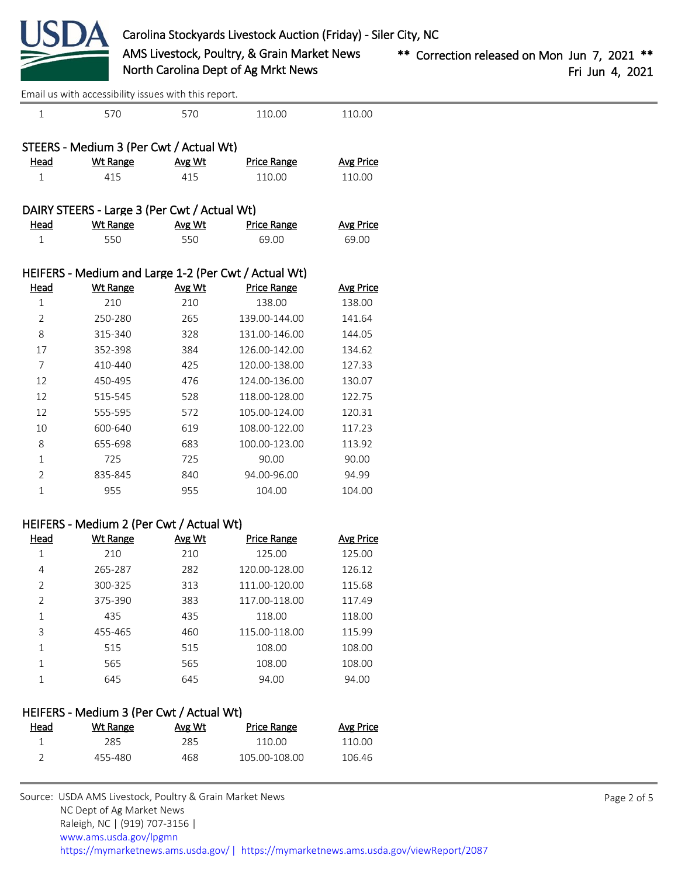

 570 570 110.00 110.00 STEERS - Medium 3 (Per Cwt / Actual Wt) Head Wt Range Avg Wt Price Range Avg Price 415 415 110.00 110.00 DAIRY STEERS - Large 3 (Per Cwt / Actual Wt) Head Wt Range Avg Wt Price Range Avg Price 550 550 69.00 69.00 HEIFERS - Medium and Large 1-2 (Per Cwt / Actual Wt) Head Wt Range Avg Wt Price Range Avg Price 210 210 138.00 138.00 250-280 265 139.00-144.00 141.64 315-340 328 131.00-146.00 144.05 352-398 384 126.00-142.00 134.62 410-440 425 120.00-138.00 127.33 450-495 476 124.00-136.00 130.07 515-545 528 118.00-128.00 122.75 555-595 572 105.00-124.00 120.31 600-640 619 108.00-122.00 117.23 655-698 683 100.00-123.00 113.92 725 725 90.00 90.00 835-845 840 94.00-96.00 94.99 955 955 104.00 104.00 HEIFERS - Medium 2 (Per Cwt / Actual Wt) Head Wt Range Avg Wt Price Range Avg Price 210 210 125.00 125.00 [Email us with accessibility issues with this report.](mailto:mars@ams.usda.gov?subject=508%20issue)

| 4             | 265-287 | 282 | 120.00-128.00 | 126.12 |
|---------------|---------|-----|---------------|--------|
| $\mathcal{P}$ | 300-325 | 313 | 111.00-120.00 | 115.68 |
| $\mathcal{P}$ | 375-390 | 383 | 117.00-118.00 | 117.49 |
| 1             | 435     | 435 | 118.00        | 118.00 |
| 3             | 455-465 | 460 | 115.00-118.00 | 115.99 |
| 1             | 515     | 515 | 108.00        | 108.00 |
| 1             | 565     | 565 | 108.00        | 108.00 |
|               | 645     | 645 | 94.00         | 94.00  |
|               |         |     |               |        |

#### HEIFERS - Medium 3 (Per Cwt / Actual Wt)

| <u>Head</u> | Wt Range | Avg Wt | Price Range   | Avg Price |
|-------------|----------|--------|---------------|-----------|
|             | 285.     | 285.   | 110.00        | 110 OO    |
|             | 455-480  | 468    | 105.00-108.00 | 106.46    |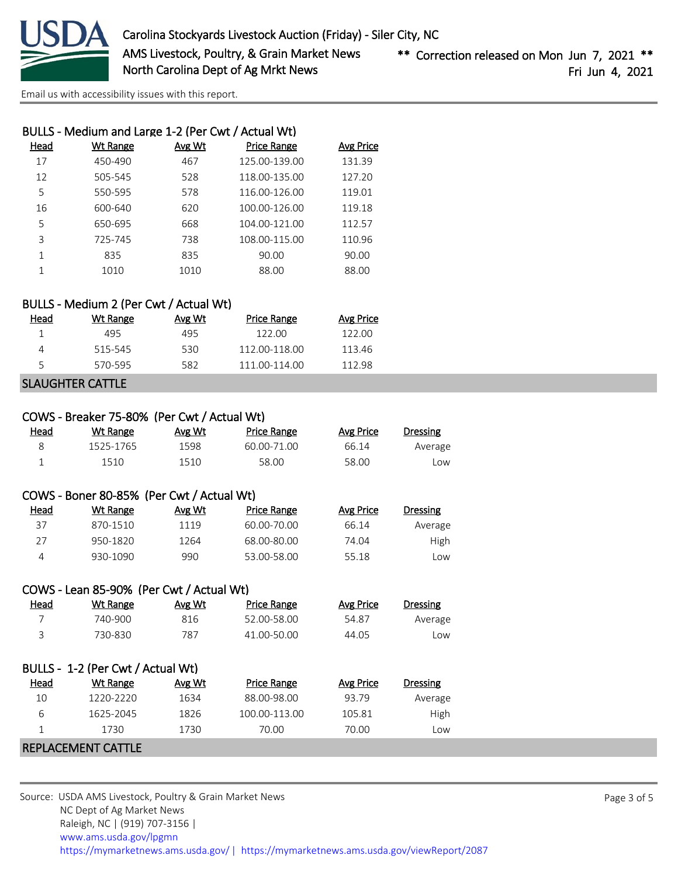

[Email us with accessibility issues with this report.](mailto:mars@ams.usda.gov?subject=508%20issue)

| BULLS - Medium and Large 1-2 (Per Cwt / Actual Wt) |          |               |                    |                  |  |  |
|----------------------------------------------------|----------|---------------|--------------------|------------------|--|--|
| Head                                               | Wt Range | <b>Avg Wt</b> | <b>Price Range</b> | <b>Avg Price</b> |  |  |
| 17                                                 | 450-490  | 467           | 125.00-139.00      | 131.39           |  |  |
| 12                                                 | 505-545  | 528           | 118.00-135.00      | 127.20           |  |  |
| 5                                                  | 550-595  | 578           | 116.00-126.00      | 119.01           |  |  |
| 16                                                 | 600-640  | 620           | 100.00-126.00      | 119.18           |  |  |
| 5                                                  | 650-695  | 668           | 104.00-121.00      | 112.57           |  |  |
| 3                                                  | 725-745  | 738           | 108.00-115.00      | 110.96           |  |  |
| 1                                                  | 835      | 835           | 90.00              | 90.00            |  |  |
|                                                    | 1010     | 1010          | 88.00              | 88.00            |  |  |
|                                                    |          |               |                    |                  |  |  |

### BULLS - Medium 2 (Per Cwt / Actual Wt)

| Head | Wt Range | Avg Wt | Price Range   | Avg Price |
|------|----------|--------|---------------|-----------|
|      | 495      | 495    | 122.00        | 122 OO    |
|      | 515-545  | 530    | 112.00-118.00 | 11346     |
|      | 570-595  | 582    | 111 00-114 00 | 112 98    |
|      |          |        |               |           |

# SLAUGHTER CATTLE

| COWS - Breaker 75-80% (Per Cwt / Actual Wt) |           |        |             |           |          |  |
|---------------------------------------------|-----------|--------|-------------|-----------|----------|--|
| Head                                        | Wt Range  | Avg Wt | Price Range | Avg Price | Dressing |  |
|                                             | 1525-1765 | 1598   | 60.00-71.00 | 66.14     | Average  |  |
|                                             | 1510      | 1510   | 58.00       | 58.00     | Low      |  |

# COWS - Boner 80-85% (Per Cwt / Actual Wt)

| Head | Wt Range | Avg Wt | Price Range | Avg Price | <b>Dressing</b> |
|------|----------|--------|-------------|-----------|-----------------|
| 37   | 870-1510 | 1119   | 60.00-70.00 | 66.14     | Average         |
| つフ   | 950-1820 | 1264   | 68.00-80.00 | 74.04     | High            |
|      | 930-1090 | 990    | 53.00-58.00 | 55.18     | LOW             |

# COWS - Lean 85-90% (Per Cwt / Actual Wt)

| <u>Head</u> | Wt Range | Avg Wt | Price Range | Avg Price | Dressing |
|-------------|----------|--------|-------------|-----------|----------|
|             | 740-900  | 816    | 52.00-58.00 | 54.87     | Average  |
|             | 730-830  | 787    | 41.00-50.00 | 44.05     | Low      |

| BULLS - 1-2 (Per Cwt / Actual Wt) |           |        |                    |           |                 |  |
|-----------------------------------|-----------|--------|--------------------|-----------|-----------------|--|
| Head                              | Wt Range  | Avg Wt | <b>Price Range</b> | Avg Price | <b>Dressing</b> |  |
| 10                                | 1220-2220 | 1634   | 88.00-98.00        | 93.79     | Average         |  |
| 6                                 | 1625-2045 | 1826   | 100.00-113.00      | 105.81    | High            |  |
|                                   | 1730      | 1730   | 70.00              | 70.00     | Low             |  |

#### REPLACEMENT CATTLE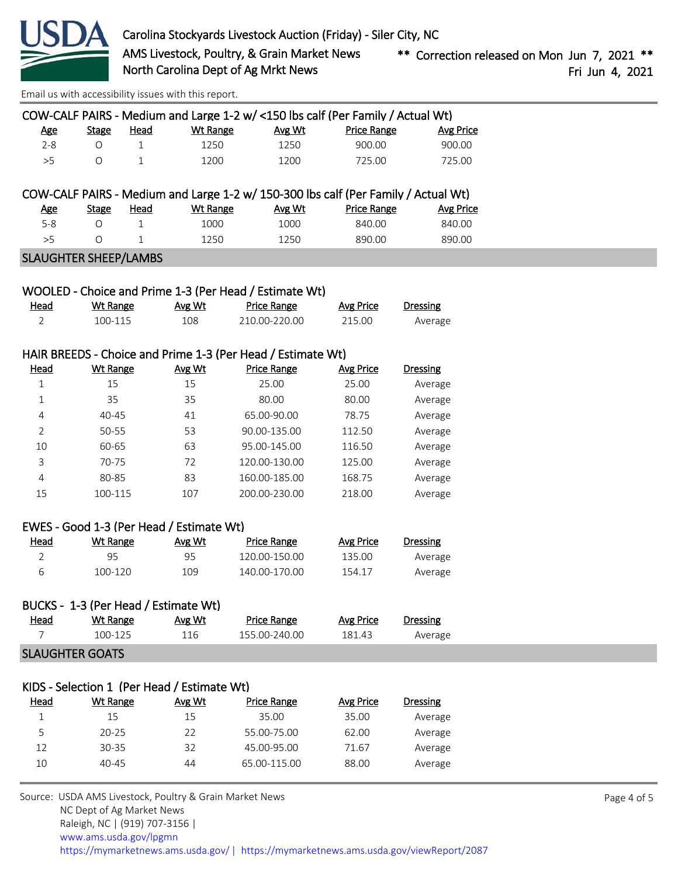

[Email us with accessibility issues with this report.](mailto:mars@ams.usda.gov?subject=508%20issue)

| COW-CALF PAIRS - Medium and Large 1-2 w/ <150 lbs calf (Per Family / Actual Wt) |       |      |          |        |                    |           |
|---------------------------------------------------------------------------------|-------|------|----------|--------|--------------------|-----------|
| Age                                                                             | Stage | Head | Wt Range | Avg Wt | <b>Price Range</b> | Avg Price |
| $2 - 8$                                                                         |       |      | 1250     | 1250   | 900.00             | 900.00    |
| >5                                                                              |       |      | 1200.    | 1200   | 725.00             | 725.00    |

# COW-CALF PAIRS - Medium and Large 1-2 w/ 150-300 lbs calf (Per Family / Actual Wt)

| Age | Stage | Head | Wt Range | Avg Wt | Price Range | <b>Avg Price</b> |
|-----|-------|------|----------|--------|-------------|------------------|
| 5-8 |       |      | :000     | 1000   | 840.00      | 840.00           |
|     |       |      | 250      | 1250   | 890.00      | 890.00           |

#### SLAUGHTER SHEEP/LAMBS

|      |          |        | WOOLED - Choice and Prime 1-3 (Per Head / Estimate Wt) |           |          |
|------|----------|--------|--------------------------------------------------------|-----------|----------|
| Head | Wt Range | Avg Wt | Price Range                                            | Avg Price | Dressing |
|      | 100-115  | 108    | 210.00-220.00                                          | 215.00    | Average  |

#### HAIR BREEDS - Choice and Prime 1-3 (Per Head / Estimate Wt)

| <u>Head</u>    | <b>Wt Range</b> | Avg Wt | <b>Price Range</b> | <b>Avg Price</b> | Dressing |
|----------------|-----------------|--------|--------------------|------------------|----------|
|                | 15              | 15     | 25.00              | 25.00            | Average  |
| 1              | 35              | 35     | 80.00              | 80.00            | Average  |
| 4              | $40 - 45$       | 41     | 65.00-90.00        | 78.75            | Average  |
| 2              | 50-55           | 53     | 90.00-135.00       | 112.50           | Average  |
| 10             | 60-65           | 63     | 95.00-145.00       | 116.50           | Average  |
| 3              | 70-75           | 72     | 120.00-130.00      | 125.00           | Average  |
| $\overline{4}$ | 80-85           | 83     | 160.00-185.00      | 168.75           | Average  |
| 15             | 100-115         | 107    | 200.00-230.00      | 218.00           | Average  |

#### EWES - Good 1-3 (Per Head / Estimate Wt)

| <u>Head</u> | Wt Range | Avg Wt | Price Range   | Avg Price | <b>Dressing</b> |
|-------------|----------|--------|---------------|-----------|-----------------|
|             | 95       | 95     | 120.00-150.00 | 135.00    | Average         |
|             | 100-120  | 109    | 140.00-170.00 | 154.17    | Average         |

|             | BUCKS - 1-3 (Per Head / Estimate Wt) |        |               |           |          |  |
|-------------|--------------------------------------|--------|---------------|-----------|----------|--|
| <u>Head</u> | Wt Range                             | Avg Wt | Price Range   | Avg Price | Dressing |  |
|             | 100-125                              | 116    | 155.00-240.00 | 181.43    | Average  |  |
|             | <b>SLAUGHTER GOATS</b>               |        |               |           |          |  |

#### KIDS - Selection 1 (Per Head / Estimate Wt)

| Head | Wt Range  | Avg Wt | <b>Price Range</b> | Avg Price | Dressing |
|------|-----------|--------|--------------------|-----------|----------|
|      | 15        | 15     | 35.00              | 35.00     | Average  |
| 5    | $20 - 25$ | 22     | 55.00-75.00        | 62.00     | Average  |
| 12   | $30 - 35$ | 32     | 45.00-95.00        | 71.67     | Average  |
| 10   | $40 - 45$ | 44     | 65.00-115.00       | 88.00     | Average  |
|      |           |        |                    |           |          |